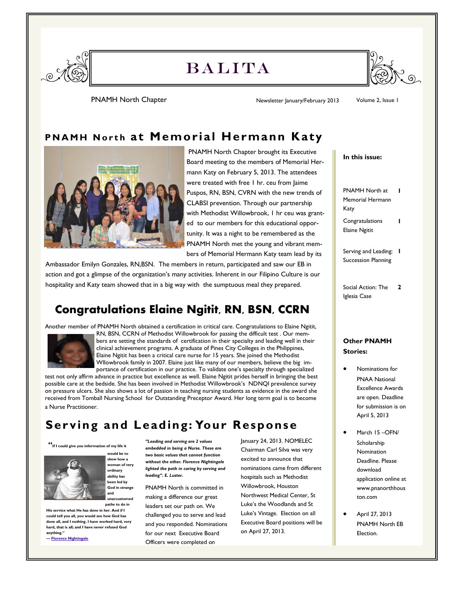

## $BA L I T A$



PNAMH North Chapter **Newsletter Newsletter Ianuary/February 2013** Volume 2, Issue 1

### **P N A M H N o r t h at Memorial Hermann Katy**



PNAMH North Chapter brought its Executive Board meeting to the members of Memorial Hermann Katy on February 5, 2013. The attendees were treated with free 1 hr. ceu from Jaime Puspos, RN, BSN, CVRN with the new trends of CLABSI prevention. Through our partnership with Methodist Willowbrook, 1 hr ceu was granted to our members for this educational opportunity. It was a night to be remembered as the PNAMH North met the young and vibrant members of Memorial Hermann Katy team lead by its

Ambassador Emilyn Gonzales, RN,BSN. The members in return, participated and saw our EB in action and got a glimpse of the organization's many activities. Inherent in our Filipino Culture is our hospitality and Katy team showed that in a big way with the sumptuous meal they prepared.

### **Congratulations Elaine Ngitit, RN, BSN, CCRN**

Another member of PNAMH North obtained a certification in critical care. Congratulations to Elaine Ngitit,



RN, BSN, CCRN of Methodist Willowbrook for passing the difficult test . Our members are setting the standards of certification in their specialty and leading well in their clinical achievement programs. A graduate of Pines City Colleges in the Philippines, Elaine Ngitit has been a critical care nurse for 15 years. She joined the Methodist Wllowbrook family in 2007. Elaine just like many of our members, believe the big importance of certification in our practice. To validate one's specialty through specialized

test not only affirm advance in practice but excellence as well. Elaine Ngitit prides herself in bringing the best possible care at the bedside. She has been involved in Methodist Willowbrook's NDNQI prevalence survey on pressure ulcers. She also shows a lot of passion in teaching nursing students as evidence in the award she received from Tomball Nursing School for Outstanding Preceptor Award. Her long term goal is to become a Nurse Practitioner.

### **Ser ving and Leading: Your Response**



**would be to show how a woman of very ordinary ability has been led by God in strange and unaccustomed** 



**paths to do in His service what He has done in her. And if I could tell you all, you would see how God has done all, and I nothing. I have worked hard, very hard, that is all; and I have never refused God anything."** 

**― [Florence Nightingale](http://www.goodreads.com/author/show/63031.Florence_Nightingale)**

*"Leading and serving are 2 values embedded in being a Nurse. These are two basic values that cannot function without the other. Florence Nightingale lighted the path in caring by serving and leading". E. Luster.*

PNAMH North is committed in making a difference our great leaders set our path on. We challenged you to serve and lead and you responded. Nominations for our next Executive Board Officers were completed on

January 24, 2013. NOMELEC Chairman Carl Silva was very excited to announce that nominations came from different hospitals such as Methodist Willowbrook, Houston Northwest Medical Center, St Luke's the Woodlands and St Luke's Vintage. Election on all Executive Board positions will be on April 27, 2013.

#### **In this issue:**

PNAMH North at Memorial Hermann Katy **1** Congratulations Elaine Ngitit **1**

Serving and Leading: **1** Succession Planning

Social Action: The Iglesia Case **2**

### **Other PNAMH Stories:**

- Nominations for PNAA National Excellence Awards are open. Deadline for submission is on April 5, 2013
- March 15 –OFN/ Scholarship Nomination Deadline. Please download application online at www.pnanorthhous ton.com
- April 27, 2013 PNAMH North EB Election.